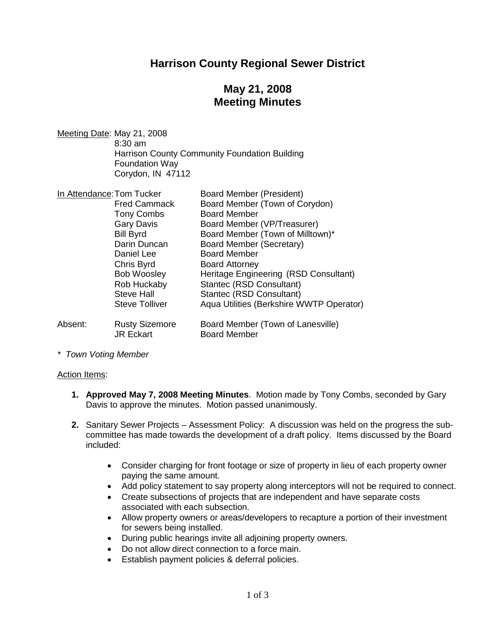## **Harrison County Regional Sewer District**

# **May 21, 2008 Meeting Minutes**

Meeting Date: May 21, 2008 8:30 am Harrison County Community Foundation Building Foundation Way Corydon, IN 47112

| In Attendance: Tom Tucker |                                           | <b>Board Member (President)</b>                          |
|---------------------------|-------------------------------------------|----------------------------------------------------------|
|                           | <b>Fred Cammack</b>                       | Board Member (Town of Corydon)                           |
|                           | <b>Tony Combs</b>                         | <b>Board Member</b>                                      |
|                           | <b>Gary Davis</b>                         | Board Member (VP/Treasurer)                              |
|                           | <b>Bill Byrd</b>                          | Board Member (Town of Milltown)*                         |
|                           | Darin Duncan                              | Board Member (Secretary)                                 |
|                           | Daniel Lee                                | <b>Board Member</b>                                      |
|                           | Chris Byrd                                | <b>Board Attorney</b>                                    |
|                           | <b>Bob Woosley</b>                        | Heritage Engineering (RSD Consultant)                    |
|                           | Rob Huckaby                               | Stantec (RSD Consultant)                                 |
|                           | <b>Steve Hall</b>                         | Stantec (RSD Consultant)                                 |
|                           | <b>Steve Tolliver</b>                     | Aqua Utilities (Berkshire WWTP Operator)                 |
| Absent:                   | <b>Rusty Sizemore</b><br><b>JR Eckart</b> | Board Member (Town of Lanesville)<br><b>Board Member</b> |

*\* Town Voting Member*

#### Action Items:

- **1. Approved May 7, 2008 Meeting Minutes**. Motion made by Tony Combs, seconded by Gary Davis to approve the minutes. Motion passed unanimously.
- **2.** Sanitary Sewer Projects Assessment Policy: A discussion was held on the progress the subcommittee has made towards the development of a draft policy. Items discussed by the Board included:
	- Consider charging for front footage or size of property in lieu of each property owner paying the same amount.
	- Add policy statement to say property along interceptors will not be required to connect.
	- Create subsections of projects that are independent and have separate costs associated with each subsection.
	- Allow property owners or areas/developers to recapture a portion of their investment for sewers being installed.
	- During public hearings invite all adjoining property owners.
	- Do not allow direct connection to a force main.
	- Establish payment policies & deferral policies.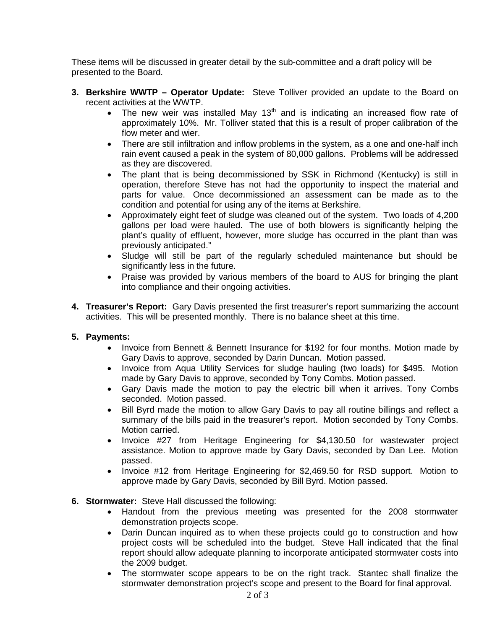These items will be discussed in greater detail by the sub-committee and a draft policy will be presented to the Board.

- **3. Berkshire WWTP Operator Update:** Steve Tolliver provided an update to the Board on recent activities at the WWTP.
	- The new weir was installed May 13<sup>th</sup> and is indicating an increased flow rate of approximately 10%. Mr. Tolliver stated that this is a result of proper calibration of the flow meter and wier.
	- There are still infiltration and inflow problems in the system, as a one and one-half inch rain event caused a peak in the system of 80,000 gallons. Problems will be addressed as they are discovered.
	- The plant that is being decommissioned by SSK in Richmond (Kentucky) is still in operation, therefore Steve has not had the opportunity to inspect the material and parts for value. Once decommissioned an assessment can be made as to the condition and potential for using any of the items at Berkshire.
	- Approximately eight feet of sludge was cleaned out of the system. Two loads of 4,200 gallons per load were hauled. The use of both blowers is significantly helping the plant's quality of effluent, however, more sludge has occurred in the plant than was previously anticipated."
	- Sludge will still be part of the regularly scheduled maintenance but should be significantly less in the future.
	- Praise was provided by various members of the board to AUS for bringing the plant into compliance and their ongoing activities.
- **4. Treasurer's Report:** Gary Davis presented the first treasurer's report summarizing the account activities. This will be presented monthly. There is no balance sheet at this time.

### **5. Payments:**

- Invoice from Bennett & Bennett Insurance for \$192 for four months. Motion made by Gary Davis to approve, seconded by Darin Duncan. Motion passed.
- Invoice from Aqua Utility Services for sludge hauling (two loads) for \$495. Motion made by Gary Davis to approve, seconded by Tony Combs. Motion passed.
- Gary Davis made the motion to pay the electric bill when it arrives. Tony Combs seconded. Motion passed.
- Bill Byrd made the motion to allow Gary Davis to pay all routine billings and reflect a summary of the bills paid in the treasurer's report. Motion seconded by Tony Combs. Motion carried.
- Invoice #27 from Heritage Engineering for \$4,130.50 for wastewater project assistance. Motion to approve made by Gary Davis, seconded by Dan Lee. Motion passed.
- Invoice #12 from Heritage Engineering for \$2,469.50 for RSD support. Motion to approve made by Gary Davis, seconded by Bill Byrd. Motion passed.

### **6. Stormwater:** Steve Hall discussed the following:

- Handout from the previous meeting was presented for the 2008 stormwater demonstration projects scope.
- Darin Duncan inquired as to when these projects could go to construction and how project costs will be scheduled into the budget. Steve Hall indicated that the final report should allow adequate planning to incorporate anticipated stormwater costs into the 2009 budget.
- The stormwater scope appears to be on the right track. Stantec shall finalize the stormwater demonstration project's scope and present to the Board for final approval.